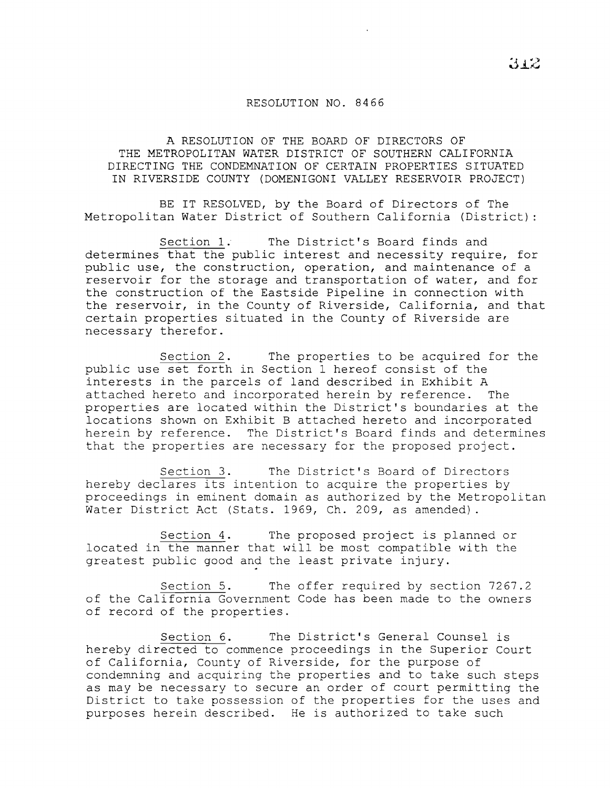## RESOLUTION NO. 8466

A RESOLUTION OF THE BOARD OF DIRECTORS OF THE METROPOLITAN WATER DISTRICT OF SOUTHERN CALIFORNIA DIRECTING THE CONDEMNATION OF CERTAIN PROPERTIES SITUATED IN RIVERSIDE COUNTY (DOMENIGONI VALLEY RESERVOIR PROJECT)

BE IT RESOLVED, by the Board of Directors of The Metropolitan Water District of Southern California (District)

Section 1. The District's Board finds and determines that the public interest and necessity require, for public use, the construction, operation, and maintenance of a reservoir for the storage and transportation of water, and for the construction of the Eastside Pipeline in connection with the reservoir, in the County of Riverside, California, and that certain properties situated in the County of Riverside are necessary therefor.

Section 2. The properties to be acquired for the public use set forth in Section 1 hereof consist of the interests in the parcels of land described in Exhibit <sup>A</sup> attached hereto and incorporated herein by reference. properties are located within the District's boundaries at the locations shown on Exhibit B attached hereto and incorporated herein by reference. The District's Board finds and determines that the properties are necessary for the proposed project.

Section 3. The District's Board of Directors hereby declares its intention to acquire the properties by proceedings in eminent domain as authorized by the Metropolitan Water District Act (Stats. 1969, Ch. 209, as amended).

Section 4. The proposed project is planned or located in the manner that will be most compatible with the greatest public good and the least private injury.

Section 5. The offer required by section 7267.2 of the California Government Code has been made to the owners of record of the properties.

Section 6. The District's General Counsel is hereby directed to commence proceedings in the Superior Court of California, County of Riverside, for the purpose of condemning and acquiring the properties and to take such steps as may be necessary to secure an order of court permitting the District to take possession of the properties for the uses and purposes herein described. He is authorized to take such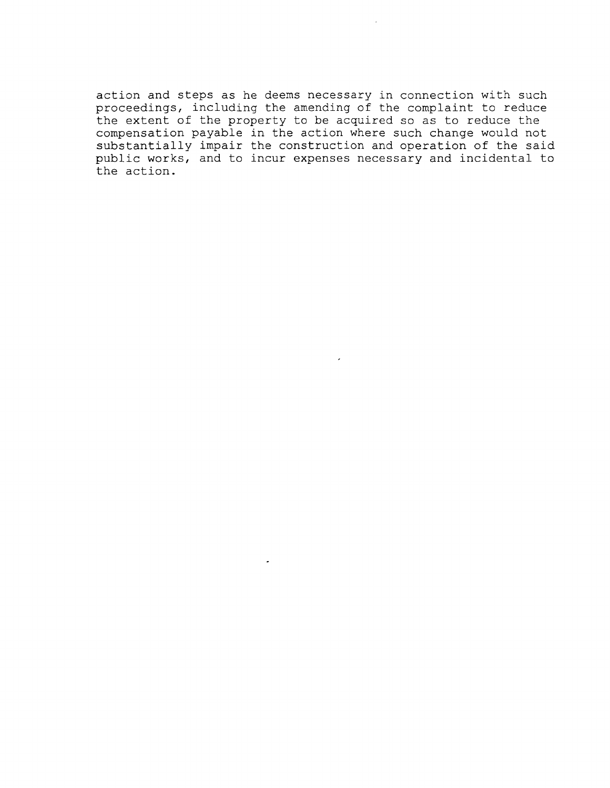action and steps as he deems necessary in connection with such proceedings, including the amending of the complaint to reduce the extent of the property to be acquired so as to reduce the compensation payable in the action where such change would not substantially impair the construction and operation of the said public works, and to incur expenses necessary and incidental to the action.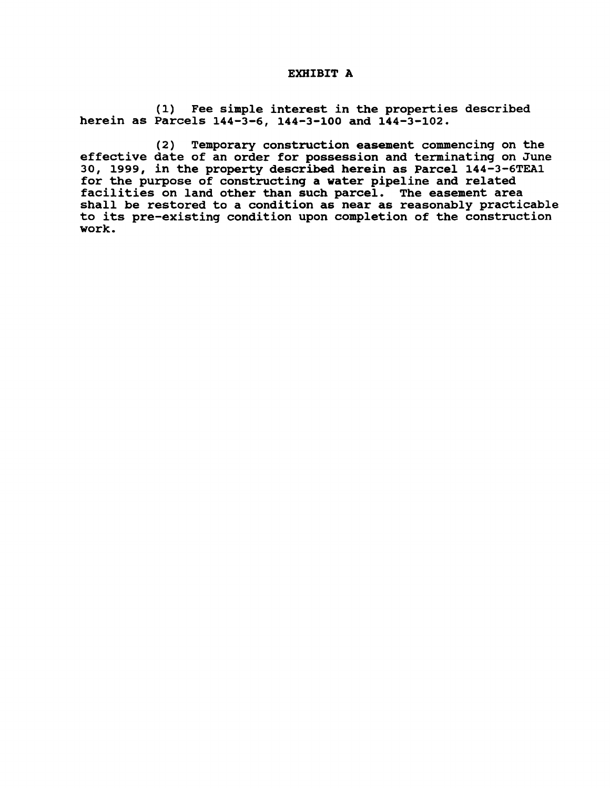## EXHIBIT A

(1) Fee simple interest in the properties described herein as Parcels 144-3-6, 144-3-100 and 144-3-102.

(2) Temporary construction easement commencing on the effective date of an order for possession and terminating on June 30, 1999, in the property described herein as Parcel 144-3-6TEA1 for the purpose of constructing a water pipeline and related facilities on land other than such parcel. The easement area shall be restored to a condition as near as reasonably practicable to its pre-existing condition upon completion of the construction work.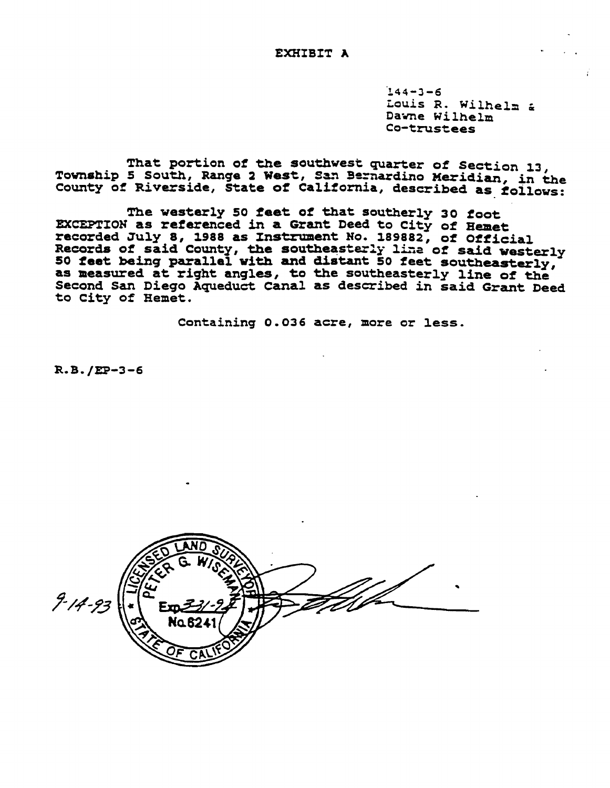$144 - 3 - 6$ Louis R. Wilhelm & Dawne Wilhelm Co-trustees

That portion of the southwest quarter of Section 13, Township 5 South, Range 2 West, San Bernardino Meridian, in the County of Riverside, State of California, described as follows:

The westerly 50 feet of that southerly 30 foot EXCEPTION as referenced in a Grant Deed to City of Hemet recorded July 8, 1988 as Instrument No. 189882, of Official Records of said County, the southeasterly line of said westerly 50 feet being parallel with and distant 50 feet southeasterly, as measured at right angles, to the southeasterly line of the Second San Diego Aqueduct Canal as described in said Grant Deed to City of Hemet.

Containing 0.036 acre, more or less.

 $R.B. / EP-3-6$ 

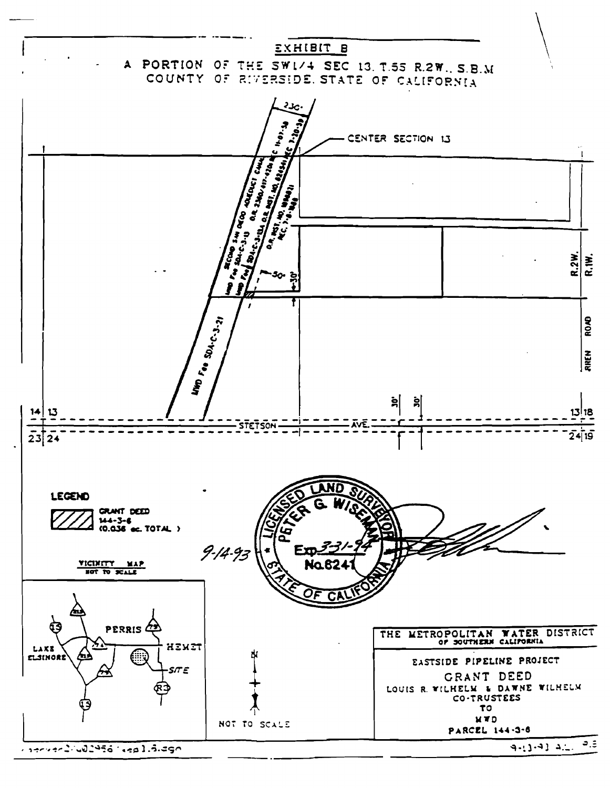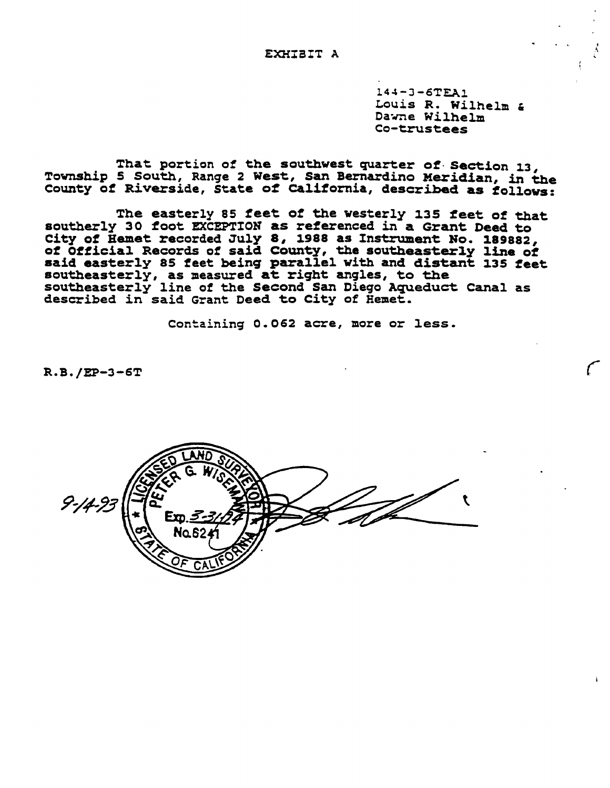$144 - 3 - 6$ TEA $1$ Louis R. Wilhelm &<br>Dawne Wilhelm Co-trustees

That portion of the southwest quarter of Section 13, Township <sup>5</sup> South, Ranqe <sup>2</sup> West, San Bernardino Meridian, in the County of Riverside, State of California, described as follows:

The easterly 85 feet of the westerly 135 feet of that southerly 30 foot EXCEPTION as referenced in a Grant Deed to City of Hemet recorded July 8, 1988 as Instrument No. 189882, of official Records of said County, the southeasterly line of said easterly 85 feet being parallel with and distant 135 feet southeasterly, as measured at right anqles, to the southeasterly line of the Second San Dieqo AquedUct Canal as described in said Grant Deed to City of Hemet.

Containinq 0.062 acre, more or less.

R.B./EP-3-6T

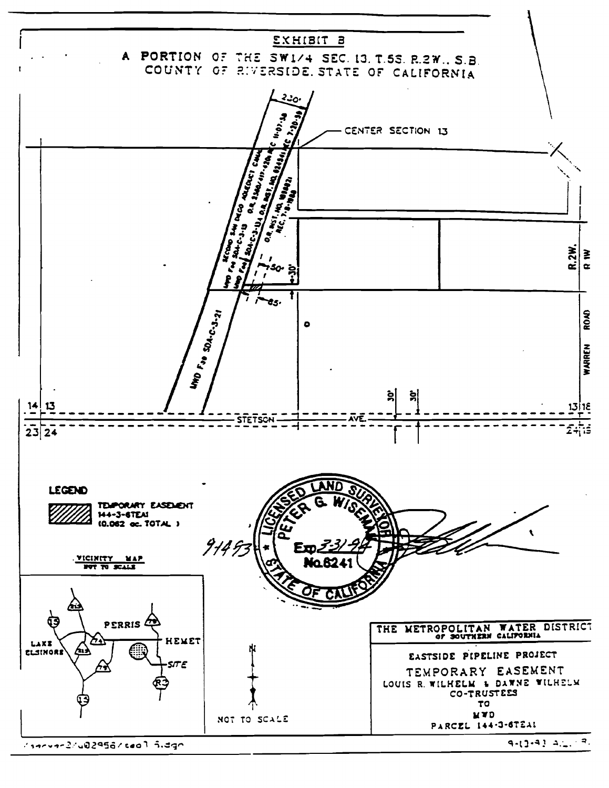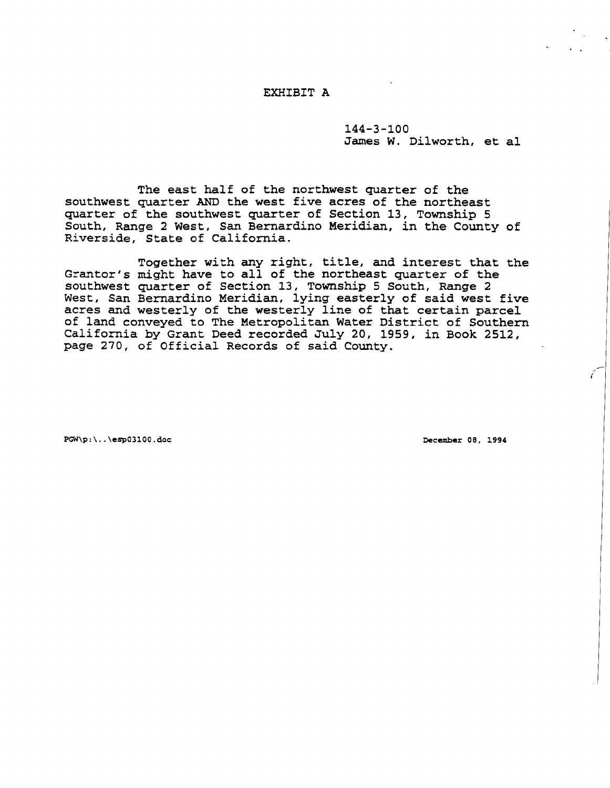## EXHIBIT A

144-3-100 James W. Dilworth, et al

The east half of the northwest quarter of the southwest quarter AND the west five acres of the northeast quarter of the southwest quarter of Section 13, Township 5 South, Range 2 West, San Bernardino Meridian, in the County of Riverside, State of California.

Together with any right, title, and interest that the Grantor's might have to all of the northeast quarter of the southwest quarter of Section 13, Township 5 South, Range 2 West, San Bernardino Meridian, lying easterly of said west five acres and westerly of the westerly line of that certain parcel of land conveyed to The Metropolitan Water District of Southern California by Grant Deed recorded July 20, 1959, in Book 2512, page 270, of Official Records of said County.

PGW\p:\ .. \esp03100.doc December 08. 1994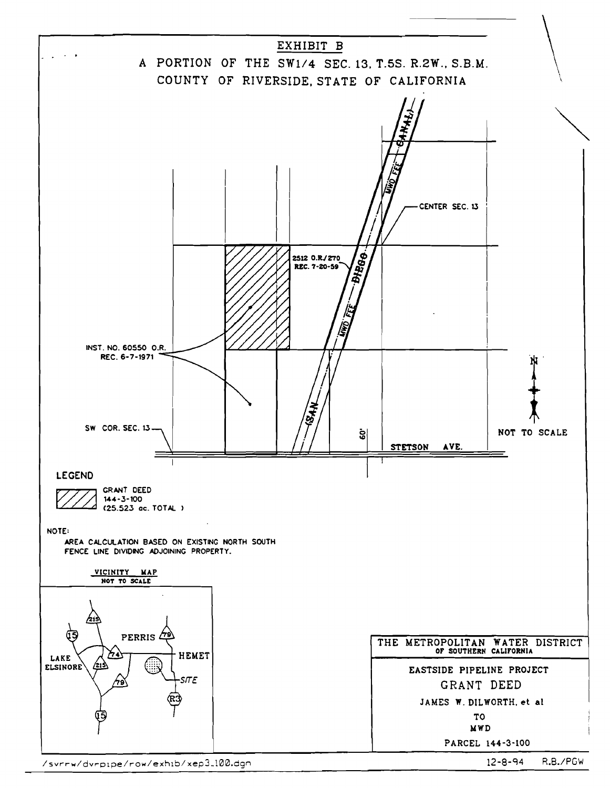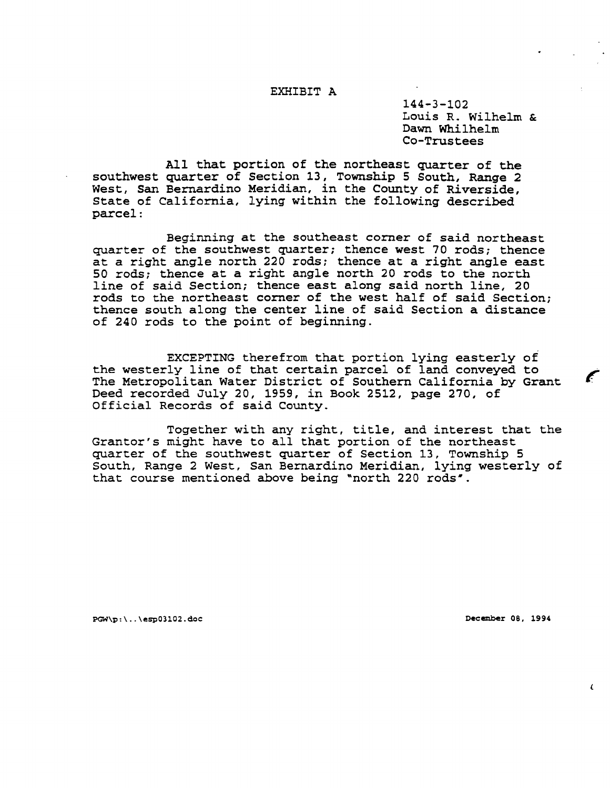## EXHIBIT A

144-3-102 Louis R. Wilhelm & Dawn Whilhelm Co-Trustees

All that portion of the northeast quarter of the southwest quarter of Section 13, Township 5 South, Range 2 West, San Bernardino Meridian, in the County of Riverside, State of California, lying within the following described parcel:

Beginning at the southeast corner of said northeast quarter of the southwest quarter; thence west 70 rods; thence at a right angle north 220 rods; thence at a right angle east 50 rods; thence at <sup>a</sup> right angle north <sup>20</sup> rods to the north line of said Section; thence east along said north line, 20 rods to the northeast corner of the west half of said Section; thence south along the center line of said Section <sup>a</sup> distance of 240 rods to the point of beginning.

EXCEPTING therefrom that portion lying easterly of the westerly line of that certain parcel of land conveyed to The Metropolitan Water District of Southern California by Grant Deed recorded July 20, 1959, in Book 2512, page 270, of Official Records of said County.

Together with any right, title, and interest that the Grantor's might have to all that portion of the northeast quarter of the southwest quarter of Section 13, Township 5 South, Range 2 West, San Bernardino Meridian, lying westerly of that course mentioned above being "north 220 rods".

PGW\p:\ .. \esp03102.doc December 08. 1994

 $\epsilon$ 

 $\epsilon$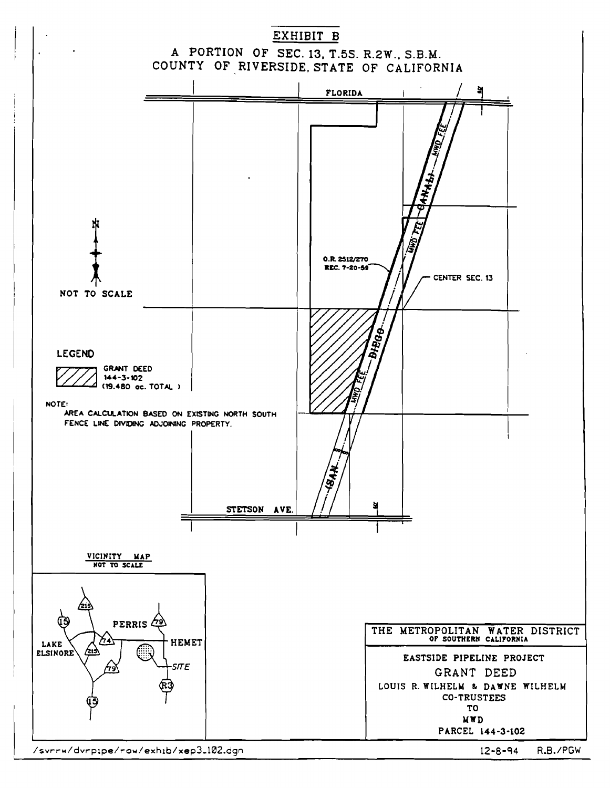